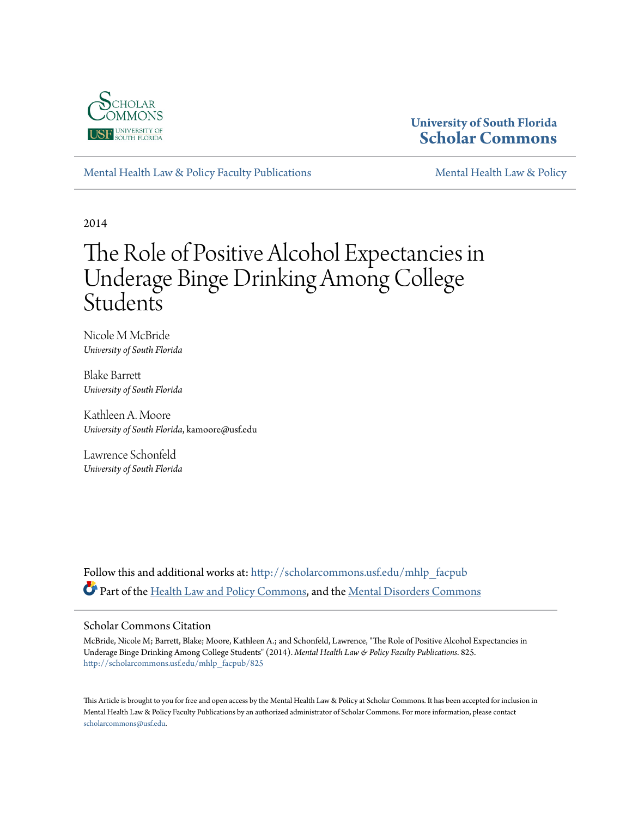

### **University of South Florida [Scholar Commons](http://scholarcommons.usf.edu?utm_source=scholarcommons.usf.edu%2Fmhlp_facpub%2F825&utm_medium=PDF&utm_campaign=PDFCoverPages)**

[Mental Health Law & Policy Faculty Publications](http://scholarcommons.usf.edu/mhlp_facpub?utm_source=scholarcommons.usf.edu%2Fmhlp_facpub%2F825&utm_medium=PDF&utm_campaign=PDFCoverPages) [Mental Health Law & Policy](http://scholarcommons.usf.edu/mhlp?utm_source=scholarcommons.usf.edu%2Fmhlp_facpub%2F825&utm_medium=PDF&utm_campaign=PDFCoverPages)

2014

## The Role of Positive Alcohol Expectancies in Underage Binge Drinking Among College Students

Nicole M McBride *University of South Florida*

Blake Barrett *University of South Florida*

Kathleen A. Moore *University of South Florida*, kamoore@usf.edu

Lawrence Schonfeld *University of South Florida*

Follow this and additional works at: [http://scholarcommons.usf.edu/mhlp\\_facpub](http://scholarcommons.usf.edu/mhlp_facpub?utm_source=scholarcommons.usf.edu%2Fmhlp_facpub%2F825&utm_medium=PDF&utm_campaign=PDFCoverPages) Part of the [Health Law and Policy Commons](http://network.bepress.com/hgg/discipline/901?utm_source=scholarcommons.usf.edu%2Fmhlp_facpub%2F825&utm_medium=PDF&utm_campaign=PDFCoverPages), and the [Mental Disorders Commons](http://network.bepress.com/hgg/discipline/968?utm_source=scholarcommons.usf.edu%2Fmhlp_facpub%2F825&utm_medium=PDF&utm_campaign=PDFCoverPages)

#### Scholar Commons Citation

McBride, Nicole M; Barrett, Blake; Moore, Kathleen A.; and Schonfeld, Lawrence, "The Role of Positive Alcohol Expectancies in Underage Binge Drinking Among College Students" (2014). *Mental Health Law & Policy Faculty Publications*. 825. [http://scholarcommons.usf.edu/mhlp\\_facpub/825](http://scholarcommons.usf.edu/mhlp_facpub/825?utm_source=scholarcommons.usf.edu%2Fmhlp_facpub%2F825&utm_medium=PDF&utm_campaign=PDFCoverPages)

This Article is brought to you for free and open access by the Mental Health Law & Policy at Scholar Commons. It has been accepted for inclusion in Mental Health Law & Policy Faculty Publications by an authorized administrator of Scholar Commons. For more information, please contact [scholarcommons@usf.edu](mailto:scholarcommons@usf.edu).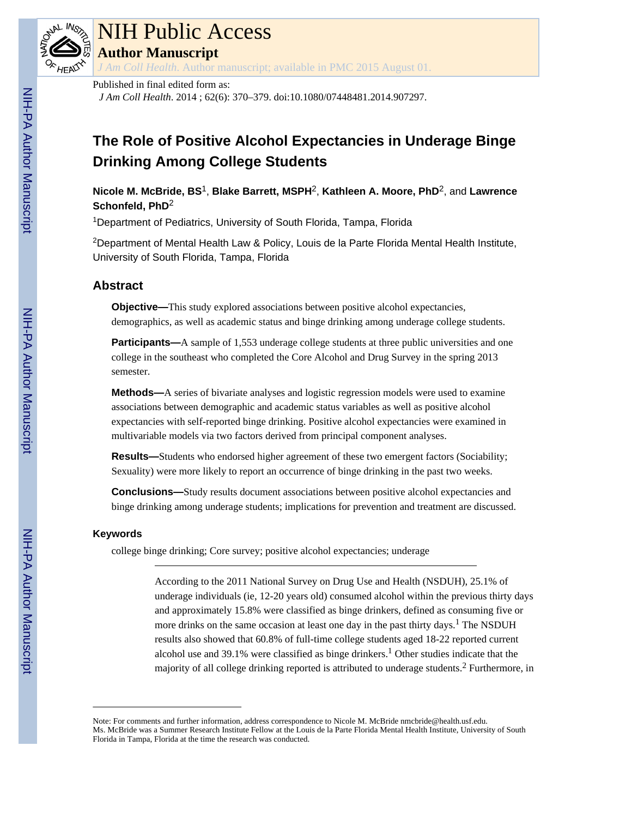

# NIH Public Access

**Author Manuscript**

*J Am Coll Health*. Author manuscript; available in PMC 2015 August 01.

#### Published in final edited form as:

*J Am Coll Health*. 2014 ; 62(6): 370–379. doi:10.1080/07448481.2014.907297.

## **The Role of Positive Alcohol Expectancies in Underage Binge Drinking Among College Students**

**Nicole M. McBride, BS**1, **Blake Barrett, MSPH**2, **Kathleen A. Moore, PhD**2, and **Lawrence Schonfeld, PhD**<sup>2</sup>

<sup>1</sup>Department of Pediatrics, University of South Florida, Tampa, Florida

<sup>2</sup>Department of Mental Health Law & Policy, Louis de la Parte Florida Mental Health Institute, University of South Florida, Tampa, Florida

#### **Abstract**

**Objective—**This study explored associations between positive alcohol expectancies, demographics, as well as academic status and binge drinking among underage college students.

**Participants—**A sample of 1,553 underage college students at three public universities and one college in the southeast who completed the Core Alcohol and Drug Survey in the spring 2013 semester.

**Methods—**A series of bivariate analyses and logistic regression models were used to examine associations between demographic and academic status variables as well as positive alcohol expectancies with self-reported binge drinking. Positive alcohol expectancies were examined in multivariable models via two factors derived from principal component analyses.

**Results—**Students who endorsed higher agreement of these two emergent factors (Sociability; Sexuality) were more likely to report an occurrence of binge drinking in the past two weeks.

**Conclusions—**Study results document associations between positive alcohol expectancies and binge drinking among underage students; implications for prevention and treatment are discussed.

#### **Keywords**

college binge drinking; Core survey; positive alcohol expectancies; underage

According to the 2011 National Survey on Drug Use and Health (NSDUH), 25.1% of underage individuals (ie, 12-20 years old) consumed alcohol within the previous thirty days and approximately 15.8% were classified as binge drinkers, defined as consuming five or more drinks on the same occasion at least one day in the past thirty days.<sup>1</sup> The NSDUH results also showed that 60.8% of full-time college students aged 18-22 reported current alcohol use and 39.1% were classified as binge drinkers.<sup>1</sup> Other studies indicate that the majority of all college drinking reported is attributed to underage students.<sup>2</sup> Furthermore, in

Note: For comments and further information, address correspondence to Nicole M. McBride nmcbride@health.usf.edu. Ms. McBride was a Summer Research Institute Fellow at the Louis de la Parte Florida Mental Health Institute, University of South Florida in Tampa, Florida at the time the research was conducted.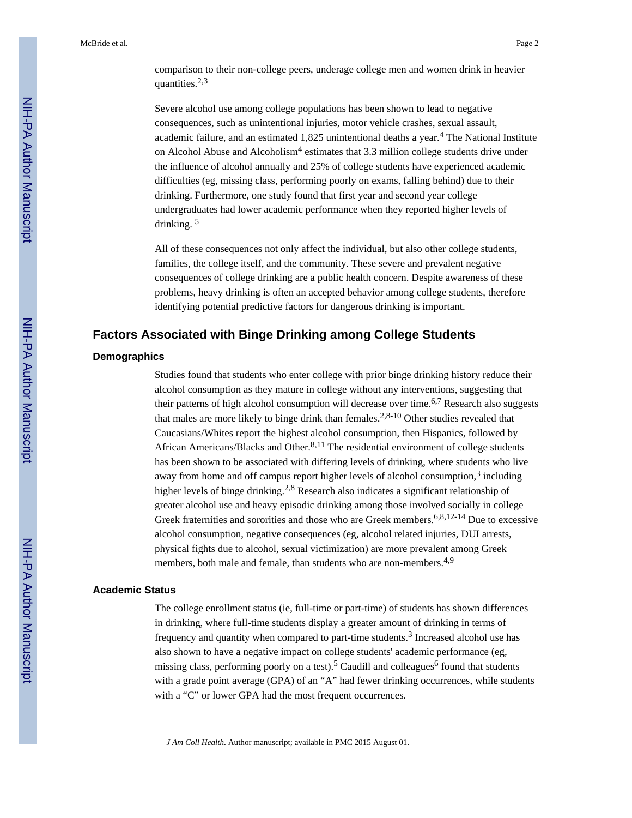comparison to their non-college peers, underage college men and women drink in heavier quantities.2,3

Severe alcohol use among college populations has been shown to lead to negative consequences, such as unintentional injuries, motor vehicle crashes, sexual assault, academic failure, and an estimated 1,825 unintentional deaths a year.<sup>4</sup> The National Institute on Alcohol Abuse and Alcoholism<sup>4</sup> estimates that 3.3 million college students drive under the influence of alcohol annually and 25% of college students have experienced academic difficulties (eg, missing class, performing poorly on exams, falling behind) due to their drinking. Furthermore, one study found that first year and second year college undergraduates had lower academic performance when they reported higher levels of drinking. <sup>5</sup>

All of these consequences not only affect the individual, but also other college students, families, the college itself, and the community. These severe and prevalent negative consequences of college drinking are a public health concern. Despite awareness of these problems, heavy drinking is often an accepted behavior among college students, therefore identifying potential predictive factors for dangerous drinking is important.

#### **Factors Associated with Binge Drinking among College Students**

#### **Demographics**

Studies found that students who enter college with prior binge drinking history reduce their alcohol consumption as they mature in college without any interventions, suggesting that their patterns of high alcohol consumption will decrease over time.<sup>6,7</sup> Research also suggests that males are more likely to binge drink than females.<sup>2,8-10</sup> Other studies revealed that Caucasians/Whites report the highest alcohol consumption, then Hispanics, followed by African Americans/Blacks and Other. $8,11$  The residential environment of college students has been shown to be associated with differing levels of drinking, where students who live away from home and off campus report higher levels of alcohol consumption,<sup>3</sup> including higher levels of binge drinking.<sup>2,8</sup> Research also indicates a significant relationship of greater alcohol use and heavy episodic drinking among those involved socially in college Greek fraternities and sororities and those who are Greek members.6,8,12-14 Due to excessive alcohol consumption, negative consequences (eg, alcohol related injuries, DUI arrests, physical fights due to alcohol, sexual victimization) are more prevalent among Greek members, both male and female, than students who are non-members.<sup>4,9</sup>

#### **Academic Status**

The college enrollment status (ie, full-time or part-time) of students has shown differences in drinking, where full-time students display a greater amount of drinking in terms of frequency and quantity when compared to part-time students.<sup>3</sup> Increased alcohol use has also shown to have a negative impact on college students' academic performance (eg, missing class, performing poorly on a test).<sup>5</sup> Caudill and colleagues<sup>6</sup> found that students with a grade point average (GPA) of an "A" had fewer drinking occurrences, while students with a "C" or lower GPA had the most frequent occurrences.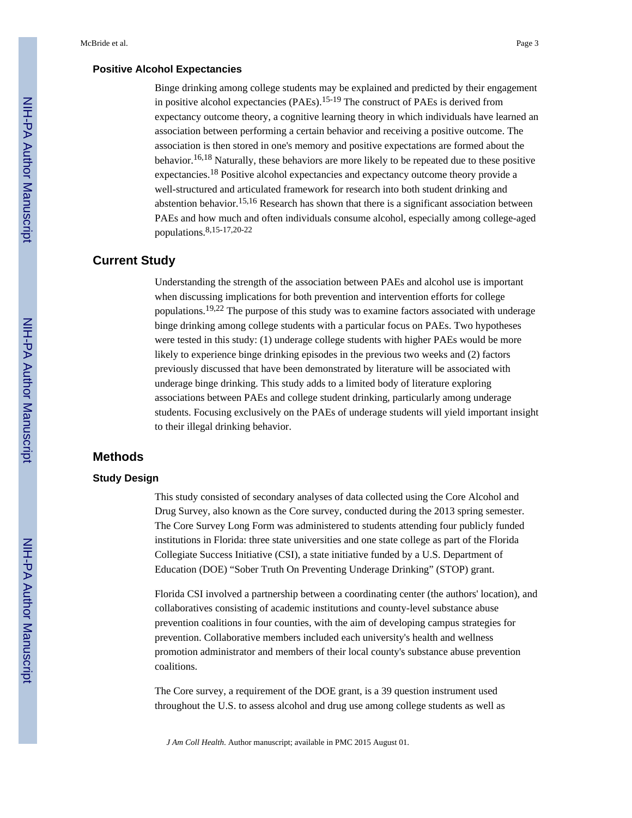#### **Positive Alcohol Expectancies**

Binge drinking among college students may be explained and predicted by their engagement in positive alcohol expectancies (PAEs).15-19 The construct of PAEs is derived from expectancy outcome theory, a cognitive learning theory in which individuals have learned an association between performing a certain behavior and receiving a positive outcome. The association is then stored in one's memory and positive expectations are formed about the behavior.16,18 Naturally, these behaviors are more likely to be repeated due to these positive expectancies.18 Positive alcohol expectancies and expectancy outcome theory provide a well-structured and articulated framework for research into both student drinking and abstention behavior.15,16 Research has shown that there is a significant association between PAEs and how much and often individuals consume alcohol, especially among college-aged populations.8,15-17,20-22

#### **Current Study**

Understanding the strength of the association between PAEs and alcohol use is important when discussing implications for both prevention and intervention efforts for college populations.19,22 The purpose of this study was to examine factors associated with underage binge drinking among college students with a particular focus on PAEs. Two hypotheses were tested in this study: (1) underage college students with higher PAEs would be more likely to experience binge drinking episodes in the previous two weeks and (2) factors previously discussed that have been demonstrated by literature will be associated with underage binge drinking. This study adds to a limited body of literature exploring associations between PAEs and college student drinking, particularly among underage students. Focusing exclusively on the PAEs of underage students will yield important insight to their illegal drinking behavior.

#### **Methods**

#### **Study Design**

This study consisted of secondary analyses of data collected using the Core Alcohol and Drug Survey, also known as the Core survey, conducted during the 2013 spring semester. The Core Survey Long Form was administered to students attending four publicly funded institutions in Florida: three state universities and one state college as part of the Florida Collegiate Success Initiative (CSI), a state initiative funded by a U.S. Department of Education (DOE) "Sober Truth On Preventing Underage Drinking" (STOP) grant.

Florida CSI involved a partnership between a coordinating center (the authors' location), and collaboratives consisting of academic institutions and county-level substance abuse prevention coalitions in four counties, with the aim of developing campus strategies for prevention. Collaborative members included each university's health and wellness promotion administrator and members of their local county's substance abuse prevention coalitions.

The Core survey, a requirement of the DOE grant, is a 39 question instrument used throughout the U.S. to assess alcohol and drug use among college students as well as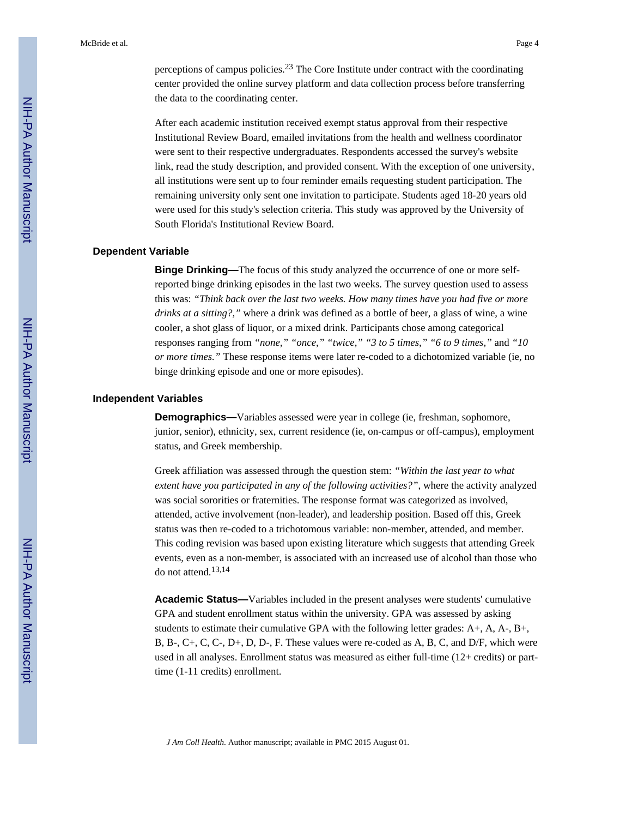perceptions of campus policies.<sup>23</sup> The Core Institute under contract with the coordinating center provided the online survey platform and data collection process before transferring the data to the coordinating center.

After each academic institution received exempt status approval from their respective Institutional Review Board, emailed invitations from the health and wellness coordinator were sent to their respective undergraduates. Respondents accessed the survey's website link, read the study description, and provided consent. With the exception of one university, all institutions were sent up to four reminder emails requesting student participation. The remaining university only sent one invitation to participate. Students aged 18-20 years old were used for this study's selection criteria. This study was approved by the University of South Florida's Institutional Review Board.

#### **Dependent Variable**

**Binge Drinking—**The focus of this study analyzed the occurrence of one or more selfreported binge drinking episodes in the last two weeks. The survey question used to assess this was: *"Think back over the last two weeks. How many times have you had five or more drinks at a sitting?,"* where a drink was defined as a bottle of beer, a glass of wine, a wine cooler, a shot glass of liquor, or a mixed drink. Participants chose among categorical responses ranging from *"none," "once," "twice," "3 to 5 times," "6 to 9 times,"* and *"10 or more times."* These response items were later re-coded to a dichotomized variable (ie, no binge drinking episode and one or more episodes).

#### **Independent Variables**

**Demographics—**Variables assessed were year in college (ie, freshman, sophomore, junior, senior), ethnicity, sex, current residence (ie, on-campus or off-campus), employment status, and Greek membership.

Greek affiliation was assessed through the question stem: *"Within the last year to what extent have you participated in any of the following activities?"*, where the activity analyzed was social sororities or fraternities. The response format was categorized as involved, attended, active involvement (non-leader), and leadership position. Based off this, Greek status was then re-coded to a trichotomous variable: non-member, attended, and member. This coding revision was based upon existing literature which suggests that attending Greek events, even as a non-member, is associated with an increased use of alcohol than those who do not attend.13,14

**Academic Status—**Variables included in the present analyses were students' cumulative GPA and student enrollment status within the university. GPA was assessed by asking students to estimate their cumulative GPA with the following letter grades:  $A_+, A_+, A_-, B_+,$ B, B-, C+, C, C-, D+, D, D-, F. These values were re-coded as A, B, C, and D/F, which were used in all analyses. Enrollment status was measured as either full-time (12+ credits) or parttime (1-11 credits) enrollment.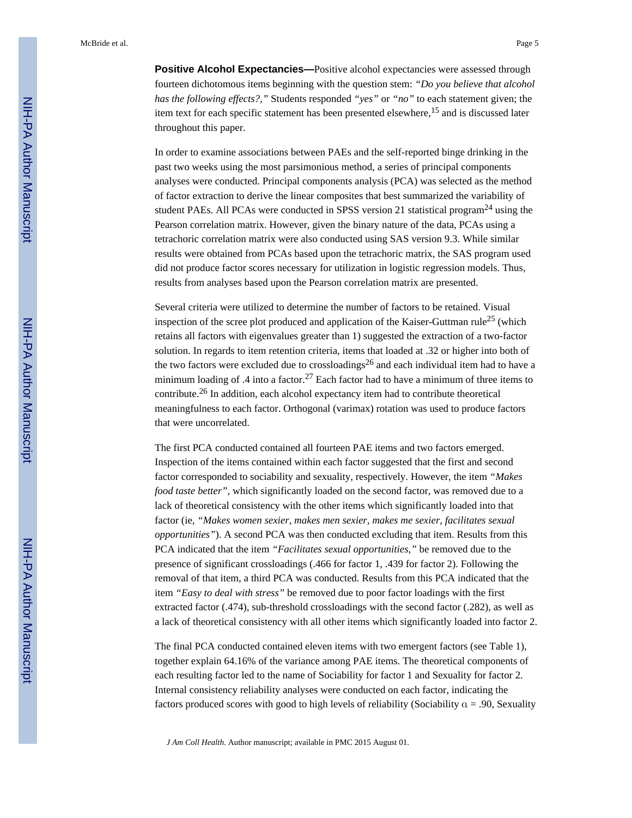**Positive Alcohol Expectancies—**Positive alcohol expectancies were assessed through fourteen dichotomous items beginning with the question stem: *"Do you believe that alcohol has the following effects?,"* Students responded *"yes"* or *"no"* to each statement given; the item text for each specific statement has been presented elsewhere,15 and is discussed later throughout this paper.

In order to examine associations between PAEs and the self-reported binge drinking in the past two weeks using the most parsimonious method, a series of principal components analyses were conducted. Principal components analysis (PCA) was selected as the method of factor extraction to derive the linear composites that best summarized the variability of student PAEs. All PCAs were conducted in SPSS version 21 statistical program<sup>24</sup> using the Pearson correlation matrix. However, given the binary nature of the data, PCAs using a tetrachoric correlation matrix were also conducted using SAS version 9.3. While similar results were obtained from PCAs based upon the tetrachoric matrix, the SAS program used did not produce factor scores necessary for utilization in logistic regression models. Thus, results from analyses based upon the Pearson correlation matrix are presented.

Several criteria were utilized to determine the number of factors to be retained. Visual inspection of the scree plot produced and application of the Kaiser-Guttman rule25 (which retains all factors with eigenvalues greater than 1) suggested the extraction of a two-factor solution. In regards to item retention criteria, items that loaded at .32 or higher into both of the two factors were excluded due to crossloadings<sup>26</sup> and each individual item had to have a minimum loading of .4 into a factor.<sup>27</sup> Each factor had to have a minimum of three items to contribute.26 In addition, each alcohol expectancy item had to contribute theoretical meaningfulness to each factor. Orthogonal (varimax) rotation was used to produce factors that were uncorrelated.

The first PCA conducted contained all fourteen PAE items and two factors emerged. Inspection of the items contained within each factor suggested that the first and second factor corresponded to sociability and sexuality, respectively. However, the item *"Makes food taste better"*, which significantly loaded on the second factor, was removed due to a lack of theoretical consistency with the other items which significantly loaded into that factor (ie, *"Makes women sexier, makes men sexier, makes me sexier, facilitates sexual opportunities"*). A second PCA was then conducted excluding that item. Results from this PCA indicated that the item *"Facilitates sexual opportunities,"* be removed due to the presence of significant crossloadings (.466 for factor 1, .439 for factor 2). Following the removal of that item, a third PCA was conducted. Results from this PCA indicated that the item *"Easy to deal with stress"* be removed due to poor factor loadings with the first extracted factor (.474), sub-threshold crossloadings with the second factor (.282), as well as a lack of theoretical consistency with all other items which significantly loaded into factor 2.

The final PCA conducted contained eleven items with two emergent factors (see Table 1), together explain 64.16% of the variance among PAE items. The theoretical components of each resulting factor led to the name of Sociability for factor 1 and Sexuality for factor 2. Internal consistency reliability analyses were conducted on each factor, indicating the factors produced scores with good to high levels of reliability (Sociability  $\alpha = .90$ , Sexuality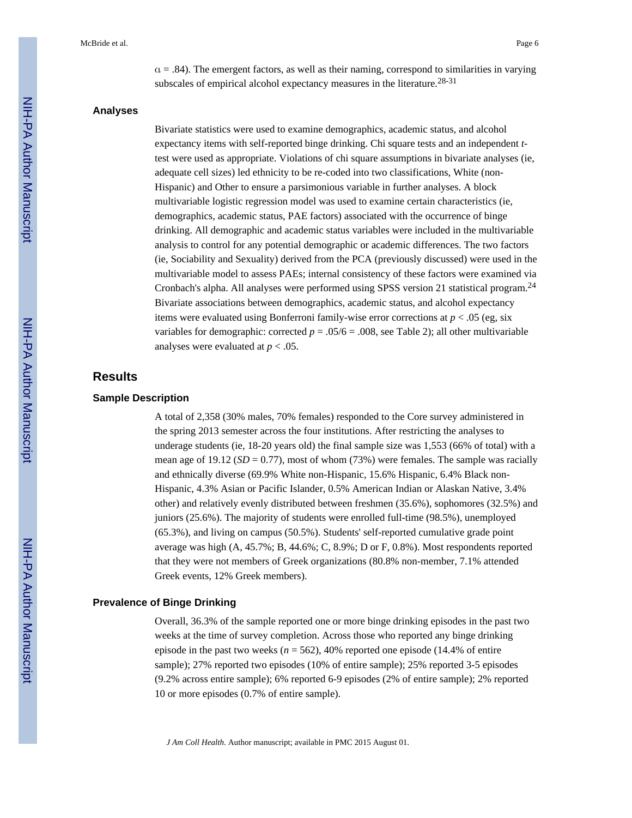$\alpha = .84$ ). The emergent factors, as well as their naming, correspond to similarities in varying subscales of empirical alcohol expectancy measures in the literature.<sup>28-31</sup>

#### **Analyses**

Bivariate statistics were used to examine demographics, academic status, and alcohol expectancy items with self-reported binge drinking. Chi square tests and an independent *t*test were used as appropriate. Violations of chi square assumptions in bivariate analyses (ie, adequate cell sizes) led ethnicity to be re-coded into two classifications, White (non-Hispanic) and Other to ensure a parsimonious variable in further analyses. A block multivariable logistic regression model was used to examine certain characteristics (ie, demographics, academic status, PAE factors) associated with the occurrence of binge drinking. All demographic and academic status variables were included in the multivariable analysis to control for any potential demographic or academic differences. The two factors (ie, Sociability and Sexuality) derived from the PCA (previously discussed) were used in the multivariable model to assess PAEs; internal consistency of these factors were examined via Cronbach's alpha. All analyses were performed using SPSS version 21 statistical program.<sup>24</sup> Bivariate associations between demographics, academic status, and alcohol expectancy items were evaluated using Bonferroni family-wise error corrections at *p* < .05 (eg, six variables for demographic: corrected  $p = .05/6 = .008$ , see Table 2); all other multivariable analyses were evaluated at *p* < .05.

#### **Results**

#### **Sample Description**

A total of 2,358 (30% males, 70% females) responded to the Core survey administered in the spring 2013 semester across the four institutions. After restricting the analyses to underage students (ie, 18-20 years old) the final sample size was 1,553 (66% of total) with a mean age of 19.12 ( $SD = 0.77$ ), most of whom (73%) were females. The sample was racially and ethnically diverse (69.9% White non-Hispanic, 15.6% Hispanic, 6.4% Black non-Hispanic, 4.3% Asian or Pacific Islander, 0.5% American Indian or Alaskan Native, 3.4% other) and relatively evenly distributed between freshmen (35.6%), sophomores (32.5%) and juniors (25.6%). The majority of students were enrolled full-time (98.5%), unemployed (65.3%), and living on campus (50.5%). Students' self-reported cumulative grade point average was high (A, 45.7%; B, 44.6%; C, 8.9%; D or F, 0.8%). Most respondents reported that they were not members of Greek organizations (80.8% non-member, 7.1% attended Greek events, 12% Greek members).

#### **Prevalence of Binge Drinking**

Overall, 36.3% of the sample reported one or more binge drinking episodes in the past two weeks at the time of survey completion. Across those who reported any binge drinking episode in the past two weeks ( $n = 562$ ), 40% reported one episode (14.4% of entire sample); 27% reported two episodes (10% of entire sample); 25% reported 3-5 episodes (9.2% across entire sample); 6% reported 6-9 episodes (2% of entire sample); 2% reported 10 or more episodes (0.7% of entire sample).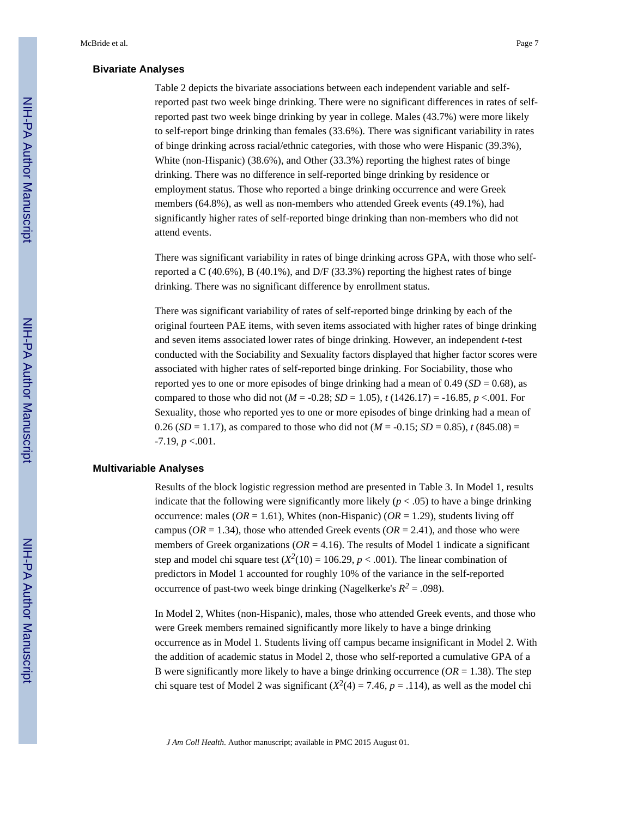#### **Bivariate Analyses**

Table 2 depicts the bivariate associations between each independent variable and selfreported past two week binge drinking. There were no significant differences in rates of selfreported past two week binge drinking by year in college. Males (43.7%) were more likely to self-report binge drinking than females (33.6%). There was significant variability in rates of binge drinking across racial/ethnic categories, with those who were Hispanic (39.3%), White (non-Hispanic) (38.6%), and Other (33.3%) reporting the highest rates of binge drinking. There was no difference in self-reported binge drinking by residence or employment status. Those who reported a binge drinking occurrence and were Greek members (64.8%), as well as non-members who attended Greek events (49.1%), had significantly higher rates of self-reported binge drinking than non-members who did not attend events.

There was significant variability in rates of binge drinking across GPA, with those who selfreported a C (40.6%), B (40.1%), and D/F (33.3%) reporting the highest rates of binge drinking. There was no significant difference by enrollment status.

There was significant variability of rates of self-reported binge drinking by each of the original fourteen PAE items, with seven items associated with higher rates of binge drinking and seven items associated lower rates of binge drinking. However, an independent *t*-test conducted with the Sociability and Sexuality factors displayed that higher factor scores were associated with higher rates of self-reported binge drinking. For Sociability, those who reported yes to one or more episodes of binge drinking had a mean of  $0.49$  ( $SD = 0.68$ ), as compared to those who did not ( $M = -0.28$ ;  $SD = 1.05$ ),  $t(1426.17) = -16.85$ ,  $p < 0.001$ . For Sexuality, those who reported yes to one or more episodes of binge drinking had a mean of 0.26 (*SD* = 1.17), as compared to those who did not ( $M = -0.15$ ; *SD* = 0.85), *t* (845.08) =  $-7.19, p < 0.001$ .

#### **Multivariable Analyses**

Results of the block logistic regression method are presented in Table 3. In Model 1, results indicate that the following were significantly more likely  $(p < .05)$  to have a binge drinking occurrence: males ( $OR = 1.61$ ), Whites (non-Hispanic) ( $OR = 1.29$ ), students living off campus ( $OR = 1.34$ ), those who attended Greek events ( $OR = 2.41$ ), and those who were members of Greek organizations ( $OR = 4.16$ ). The results of Model 1 indicate a significant step and model chi square test  $(X^2(10) = 106.29, p < .001)$ . The linear combination of predictors in Model 1 accounted for roughly 10% of the variance in the self-reported occurrence of past-two week binge drinking (Nagelkerke's  $R^2 = .098$ ).

In Model 2, Whites (non-Hispanic), males, those who attended Greek events, and those who were Greek members remained significantly more likely to have a binge drinking occurrence as in Model 1. Students living off campus became insignificant in Model 2. With the addition of academic status in Model 2, those who self-reported a cumulative GPA of a B were significantly more likely to have a binge drinking occurrence ( $OR = 1.38$ ). The step chi square test of Model 2 was significant  $(X^2(4) = 7.46, p = .114)$ , as well as the model chi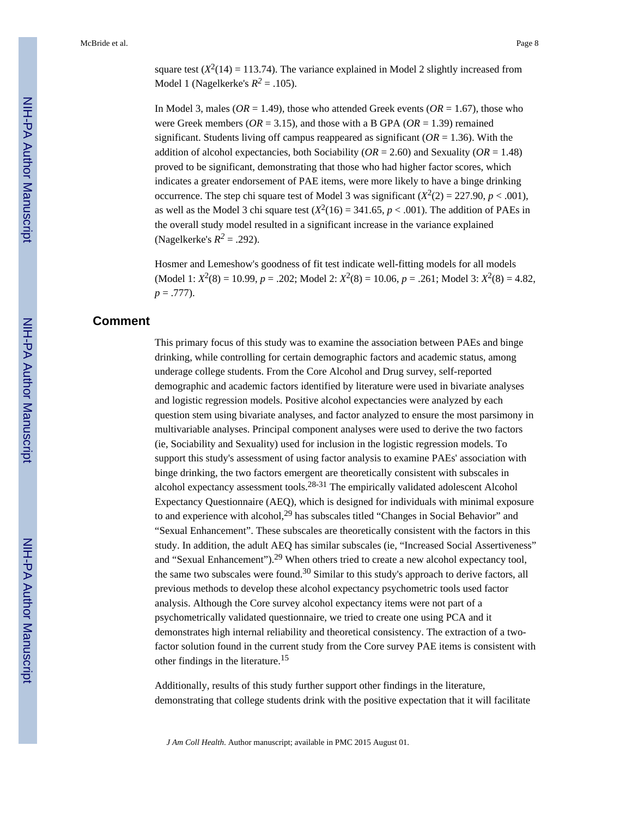square test  $(X^2(14) = 113.74)$ . The variance explained in Model 2 slightly increased from Model 1 (Nagelkerke's  $R^2 = .105$ ).

In Model 3, males ( $OR = 1.49$ ), those who attended Greek events ( $OR = 1.67$ ), those who were Greek members ( $OR = 3.15$ ), and those with a B GPA ( $OR = 1.39$ ) remained significant. Students living off campus reappeared as significant ( $OR = 1.36$ ). With the addition of alcohol expectancies, both Sociability ( $OR = 2.60$ ) and Sexuality ( $OR = 1.48$ ) proved to be significant, demonstrating that those who had higher factor scores, which indicates a greater endorsement of PAE items, were more likely to have a binge drinking occurrence. The step chi square test of Model 3 was significant  $(X^2(2) = 227.90, p < .001)$ , as well as the Model 3 chi square test  $(X^2(16) = 341.65, p < .001)$ . The addition of PAEs in the overall study model resulted in a significant increase in the variance explained (Nagelkerke's  $R^2$  = .292).

Hosmer and Lemeshow's goodness of fit test indicate well-fitting models for all models (Model 1:  $X^2(8) = 10.99$ ,  $p = .202$ ; Model 2:  $X^2(8) = 10.06$ ,  $p = .261$ ; Model 3:  $X^2(8) = 4.82$ , *p* = .777).

#### **Comment**

This primary focus of this study was to examine the association between PAEs and binge drinking, while controlling for certain demographic factors and academic status, among underage college students. From the Core Alcohol and Drug survey, self-reported demographic and academic factors identified by literature were used in bivariate analyses and logistic regression models. Positive alcohol expectancies were analyzed by each question stem using bivariate analyses, and factor analyzed to ensure the most parsimony in multivariable analyses. Principal component analyses were used to derive the two factors (ie, Sociability and Sexuality) used for inclusion in the logistic regression models. To support this study's assessment of using factor analysis to examine PAEs' association with binge drinking, the two factors emergent are theoretically consistent with subscales in alcohol expectancy assessment tools.<sup>28-31</sup> The empirically validated adolescent Alcohol Expectancy Questionnaire (AEQ), which is designed for individuals with minimal exposure to and experience with alcohol,<sup>29</sup> has subscales titled "Changes in Social Behavior" and "Sexual Enhancement". These subscales are theoretically consistent with the factors in this study. In addition, the adult AEQ has similar subscales (ie, "Increased Social Assertiveness" and "Sexual Enhancement").29 When others tried to create a new alcohol expectancy tool, the same two subscales were found.<sup>30</sup> Similar to this study's approach to derive factors, all previous methods to develop these alcohol expectancy psychometric tools used factor analysis. Although the Core survey alcohol expectancy items were not part of a psychometrically validated questionnaire, we tried to create one using PCA and it demonstrates high internal reliability and theoretical consistency. The extraction of a twofactor solution found in the current study from the Core survey PAE items is consistent with other findings in the literature.<sup>15</sup>

Additionally, results of this study further support other findings in the literature, demonstrating that college students drink with the positive expectation that it will facilitate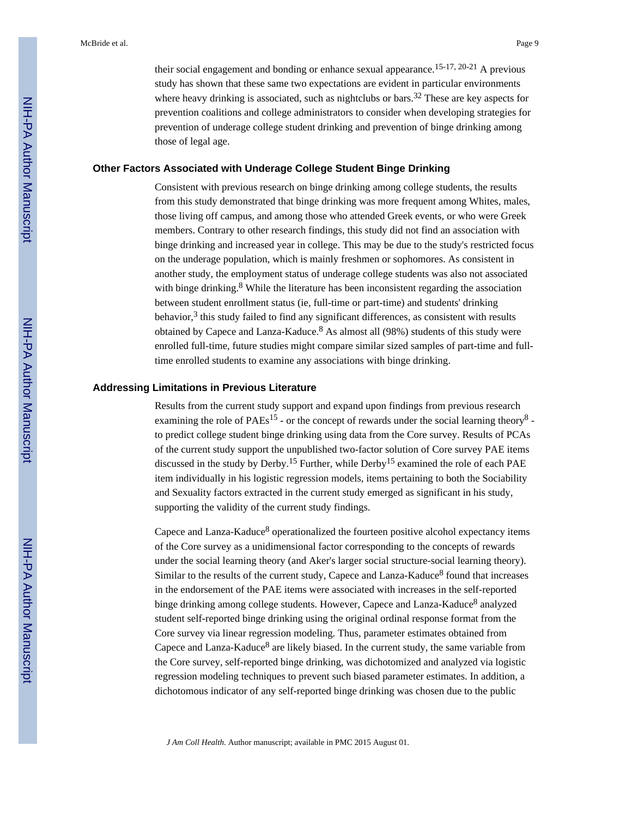their social engagement and bonding or enhance sexual appearance.15-17, 20-21 A previous study has shown that these same two expectations are evident in particular environments where heavy drinking is associated, such as nightclubs or bars.<sup>32</sup> These are key aspects for prevention coalitions and college administrators to consider when developing strategies for prevention of underage college student drinking and prevention of binge drinking among those of legal age.

#### **Other Factors Associated with Underage College Student Binge Drinking**

Consistent with previous research on binge drinking among college students, the results from this study demonstrated that binge drinking was more frequent among Whites, males, those living off campus, and among those who attended Greek events, or who were Greek members. Contrary to other research findings, this study did not find an association with binge drinking and increased year in college. This may be due to the study's restricted focus on the underage population, which is mainly freshmen or sophomores. As consistent in another study, the employment status of underage college students was also not associated with binge drinking.<sup>8</sup> While the literature has been inconsistent regarding the association between student enrollment status (ie, full-time or part-time) and students' drinking behavior, $3$  this study failed to find any significant differences, as consistent with results obtained by Capece and Lanza-Kaduce.<sup>8</sup> As almost all (98%) students of this study were enrolled full-time, future studies might compare similar sized samples of part-time and fulltime enrolled students to examine any associations with binge drinking.

#### **Addressing Limitations in Previous Literature**

Results from the current study support and expand upon findings from previous research examining the role of PAEs<sup>15</sup> - or the concept of rewards under the social learning theory<sup>8</sup> to predict college student binge drinking using data from the Core survey. Results of PCAs of the current study support the unpublished two-factor solution of Core survey PAE items discussed in the study by Derby.<sup>15</sup> Further, while Derby<sup>15</sup> examined the role of each PAE item individually in his logistic regression models, items pertaining to both the Sociability and Sexuality factors extracted in the current study emerged as significant in his study, supporting the validity of the current study findings.

Capece and Lanza-Kaduce<sup>8</sup> operationalized the fourteen positive alcohol expectancy items of the Core survey as a unidimensional factor corresponding to the concepts of rewards under the social learning theory (and Aker's larger social structure-social learning theory). Similar to the results of the current study, Capece and Lanza-Kaduce<sup>8</sup> found that increases in the endorsement of the PAE items were associated with increases in the self-reported binge drinking among college students. However, Capece and Lanza-Kaduce<sup>8</sup> analyzed student self-reported binge drinking using the original ordinal response format from the Core survey via linear regression modeling. Thus, parameter estimates obtained from Capece and Lanza-Kaduce<sup>8</sup> are likely biased. In the current study, the same variable from the Core survey, self-reported binge drinking, was dichotomized and analyzed via logistic regression modeling techniques to prevent such biased parameter estimates. In addition, a dichotomous indicator of any self-reported binge drinking was chosen due to the public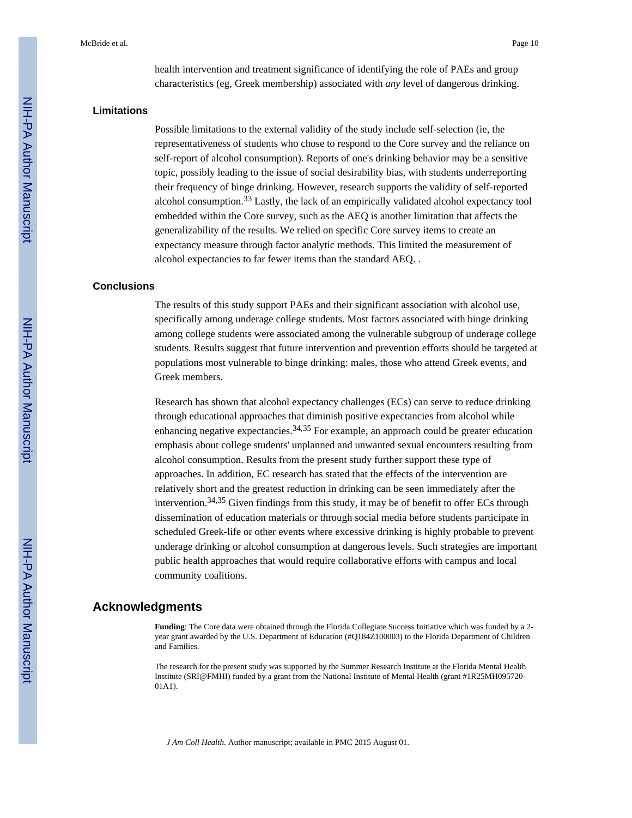health intervention and treatment significance of identifying the role of PAEs and group characteristics (eg, Greek membership) associated with *any* level of dangerous drinking.

#### **Limitations**

Possible limitations to the external validity of the study include self-selection (ie, the representativeness of students who chose to respond to the Core survey and the reliance on self-report of alcohol consumption). Reports of one's drinking behavior may be a sensitive topic, possibly leading to the issue of social desirability bias, with students underreporting their frequency of binge drinking. However, research supports the validity of self-reported alcohol consumption.33 Lastly, the lack of an empirically validated alcohol expectancy tool embedded within the Core survey, such as the AEQ is another limitation that affects the generalizability of the results. We relied on specific Core survey items to create an expectancy measure through factor analytic methods. This limited the measurement of alcohol expectancies to far fewer items than the standard AEQ. .

#### **Conclusions**

The results of this study support PAEs and their significant association with alcohol use, specifically among underage college students. Most factors associated with binge drinking among college students were associated among the vulnerable subgroup of underage college students. Results suggest that future intervention and prevention efforts should be targeted at populations most vulnerable to binge drinking: males, those who attend Greek events, and Greek members.

Research has shown that alcohol expectancy challenges (ECs) can serve to reduce drinking through educational approaches that diminish positive expectancies from alcohol while enhancing negative expectancies.<sup>34,35</sup> For example, an approach could be greater education emphasis about college students' unplanned and unwanted sexual encounters resulting from alcohol consumption. Results from the present study further support these type of approaches. In addition, EC research has stated that the effects of the intervention are relatively short and the greatest reduction in drinking can be seen immediately after the intervention.<sup>34,35</sup> Given findings from this study, it may be of benefit to offer ECs through dissemination of education materials or through social media before students participate in scheduled Greek-life or other events where excessive drinking is highly probable to prevent underage drinking or alcohol consumption at dangerous levels. Such strategies are important public health approaches that would require collaborative efforts with campus and local community coalitions.

#### **Acknowledgments**

**Funding**: The Core data were obtained through the Florida Collegiate Success Initiative which was funded by a 2year grant awarded by the U.S. Department of Education (#Q184Z100003) to the Florida Department of Children and Families.

The research for the present study was supported by the Summer Research Institute at the Florida Mental Health Institute (SRI@FMHI) funded by a grant from the National Institute of Mental Health (grant #1R25MH095720- 01A1).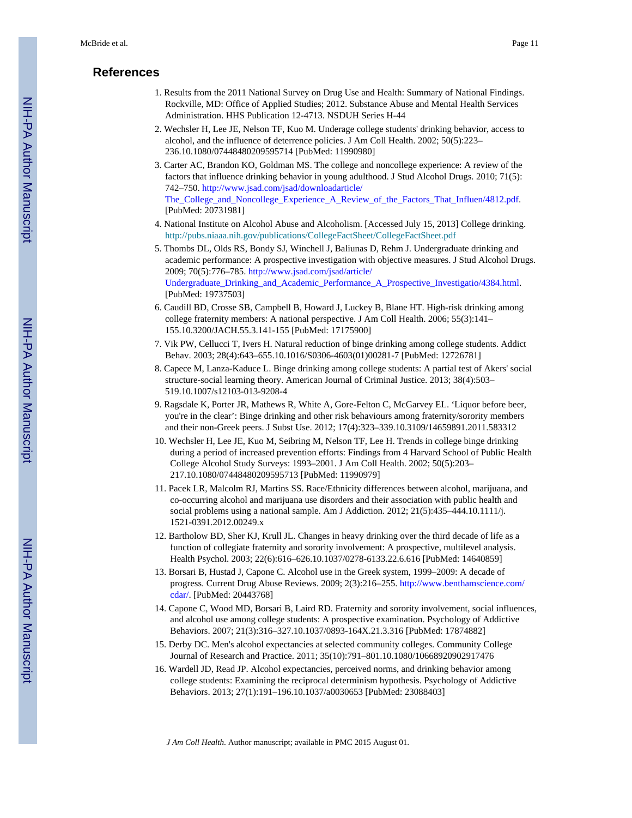#### **References**

- 1. Results from the 2011 National Survey on Drug Use and Health: Summary of National Findings. Rockville, MD: Office of Applied Studies; 2012. Substance Abuse and Mental Health Services Administration. HHS Publication 12-4713. NSDUH Series H-44
- 2. Wechsler H, Lee JE, Nelson TF, Kuo M. Underage college students' drinking behavior, access to alcohol, and the influence of deterrence policies. J Am Coll Health. 2002; 50(5):223– 236.10.1080/07448480209595714 [PubMed: 11990980]
- 3. Carter AC, Brandon KO, Goldman MS. The college and noncollege experience: A review of the factors that influence drinking behavior in young adulthood. J Stud Alcohol Drugs. 2010; 71(5): 742–750. [http://www.jsad.com/jsad/downloadarticle/](http://www.jsad.com/jsad/downloadarticle/The_College_and_Noncollege_Experience_A_Review_of_the_Factors_That_Influen/4812.pdf) [The\\_College\\_and\\_Noncollege\\_Experience\\_A\\_Review\\_of\\_the\\_Factors\\_That\\_Influen/4812.pdf.](http://www.jsad.com/jsad/downloadarticle/The_College_and_Noncollege_Experience_A_Review_of_the_Factors_That_Influen/4812.pdf) [PubMed: 20731981]
- 4. National Institute on Alcohol Abuse and Alcoholism. [Accessed July 15, 2013] College drinking. <http://pubs.niaaa.nih.gov/publications/CollegeFactSheet/CollegeFactSheet.pdf>
- 5. Thombs DL, Olds RS, Bondy SJ, Winchell J, Baliunas D, Rehm J. Undergraduate drinking and academic performance: A prospective investigation with objective measures. J Stud Alcohol Drugs. 2009; 70(5):776–785. [http://www.jsad.com/jsad/article/](http://www.jsad.com/jsad/article/Undergraduate_Drinking_and_Academic_Performance_A_Prospective_Investigatio/4384.html) [Undergraduate\\_Drinking\\_and\\_Academic\\_Performance\\_A\\_Prospective\\_Investigatio/4384.html](http://www.jsad.com/jsad/article/Undergraduate_Drinking_and_Academic_Performance_A_Prospective_Investigatio/4384.html). [PubMed: 19737503]
- 6. Caudill BD, Crosse SB, Campbell B, Howard J, Luckey B, Blane HT. High-risk drinking among college fraternity members: A national perspective. J Am Coll Health. 2006; 55(3):141– 155.10.3200/JACH.55.3.141-155 [PubMed: 17175900]
- 7. Vik PW, Cellucci T, Ivers H. Natural reduction of binge drinking among college students. Addict Behav. 2003; 28(4):643–655.10.1016/S0306-4603(01)00281-7 [PubMed: 12726781]
- 8. Capece M, Lanza-Kaduce L. Binge drinking among college students: A partial test of Akers' social structure-social learning theory. American Journal of Criminal Justice. 2013; 38(4):503– 519.10.1007/s12103-013-9208-4
- 9. Ragsdale K, Porter JR, Mathews R, White A, Gore-Felton C, McGarvey EL. 'Liquor before beer, you're in the clear': Binge drinking and other risk behaviours among fraternity/sorority members and their non-Greek peers. J Subst Use. 2012; 17(4):323–339.10.3109/14659891.2011.583312
- 10. Wechsler H, Lee JE, Kuo M, Seibring M, Nelson TF, Lee H. Trends in college binge drinking during a period of increased prevention efforts: Findings from 4 Harvard School of Public Health College Alcohol Study Surveys: 1993–2001. J Am Coll Health. 2002; 50(5):203– 217.10.1080/07448480209595713 [PubMed: 11990979]
- 11. Pacek LR, Malcolm RJ, Martins SS. Race/Ethnicity differences between alcohol, marijuana, and co-occurring alcohol and marijuana use disorders and their association with public health and social problems using a national sample. Am J Addiction. 2012; 21(5):435–444.10.1111/j. 1521-0391.2012.00249.x
- 12. Bartholow BD, Sher KJ, Krull JL. Changes in heavy drinking over the third decade of life as a function of collegiate fraternity and sorority involvement: A prospective, multilevel analysis. Health Psychol. 2003; 22(6):616–626.10.1037/0278-6133.22.6.616 [PubMed: 14640859]
- 13. Borsari B, Hustad J, Capone C. Alcohol use in the Greek system, 1999–2009: A decade of progress. Current Drug Abuse Reviews. 2009; 2(3):216–255. [http://www.benthamscience.com/](http://www.benthamscience.com/cdar/) [cdar/.](http://www.benthamscience.com/cdar/) [PubMed: 20443768]
- 14. Capone C, Wood MD, Borsari B, Laird RD. Fraternity and sorority involvement, social influences, and alcohol use among college students: A prospective examination. Psychology of Addictive Behaviors. 2007; 21(3):316–327.10.1037/0893-164X.21.3.316 [PubMed: 17874882]
- 15. Derby DC. Men's alcohol expectancies at selected community colleges. Community College Journal of Research and Practice. 2011; 35(10):791–801.10.1080/10668920902917476
- 16. Wardell JD, Read JP. Alcohol expectancies, perceived norms, and drinking behavior among college students: Examining the reciprocal determinism hypothesis. Psychology of Addictive Behaviors. 2013; 27(1):191–196.10.1037/a0030653 [PubMed: 23088403]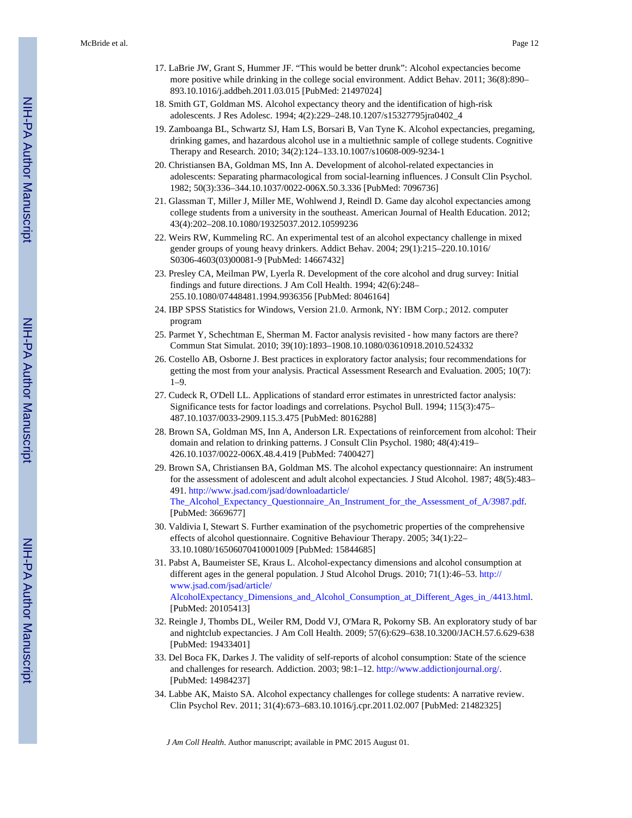- 17. LaBrie JW, Grant S, Hummer JF. "This would be better drunk": Alcohol expectancies become more positive while drinking in the college social environment. Addict Behav. 2011; 36(8):890– 893.10.1016/j.addbeh.2011.03.015 [PubMed: 21497024]
- 18. Smith GT, Goldman MS. Alcohol expectancy theory and the identification of high-risk adolescents. J Res Adolesc. 1994; 4(2):229–248.10.1207/s15327795jra0402\_4
- 19. Zamboanga BL, Schwartz SJ, Ham LS, Borsari B, Van Tyne K. Alcohol expectancies, pregaming, drinking games, and hazardous alcohol use in a multiethnic sample of college students. Cognitive Therapy and Research. 2010; 34(2):124–133.10.1007/s10608-009-9234-1
- 20. Christiansen BA, Goldman MS, Inn A. Development of alcohol-related expectancies in adolescents: Separating pharmacological from social-learning influences. J Consult Clin Psychol. 1982; 50(3):336–344.10.1037/0022-006X.50.3.336 [PubMed: 7096736]
- 21. Glassman T, Miller J, Miller ME, Wohlwend J, Reindl D. Game day alcohol expectancies among college students from a university in the southeast. American Journal of Health Education. 2012; 43(4):202–208.10.1080/19325037.2012.10599236
- 22. Weirs RW, Kummeling RC. An experimental test of an alcohol expectancy challenge in mixed gender groups of young heavy drinkers. Addict Behav. 2004; 29(1):215–220.10.1016/ S0306-4603(03)00081-9 [PubMed: 14667432]
- 23. Presley CA, Meilman PW, Lyerla R. Development of the core alcohol and drug survey: Initial findings and future directions. J Am Coll Health. 1994; 42(6):248– 255.10.1080/07448481.1994.9936356 [PubMed: 8046164]
- 24. IBP SPSS Statistics for Windows, Version 21.0. Armonk, NY: IBM Corp.; 2012. computer program
- 25. Parmet Y, Schechtman E, Sherman M. Factor analysis revisited how many factors are there? Commun Stat Simulat. 2010; 39(10):1893–1908.10.1080/03610918.2010.524332
- 26. Costello AB, Osborne J. Best practices in exploratory factor analysis; four recommendations for getting the most from your analysis. Practical Assessment Research and Evaluation. 2005; 10(7): 1–9.
- 27. Cudeck R, O'Dell LL. Applications of standard error estimates in unrestricted factor analysis: Significance tests for factor loadings and correlations. Psychol Bull. 1994; 115(3):475– 487.10.1037/0033-2909.115.3.475 [PubMed: 8016288]
- 28. Brown SA, Goldman MS, Inn A, Anderson LR. Expectations of reinforcement from alcohol: Their domain and relation to drinking patterns. J Consult Clin Psychol. 1980; 48(4):419– 426.10.1037/0022-006X.48.4.419 [PubMed: 7400427]
- 29. Brown SA, Christiansen BA, Goldman MS. The alcohol expectancy questionnaire: An instrument for the assessment of adolescent and adult alcohol expectancies. J Stud Alcohol. 1987; 48(5):483– 491. [http://www.jsad.com/jsad/downloadarticle/](http://www.jsad.com/jsad/downloadarticle/The_Alcohol_Expectancy_Questionnaire_An_Instrument_for_the_Assessment_of_A/3987.pdf) [The\\_Alcohol\\_Expectancy\\_Questionnaire\\_An\\_Instrument\\_for\\_the\\_Assessment\\_of\\_A/3987.pdf](http://www.jsad.com/jsad/downloadarticle/The_Alcohol_Expectancy_Questionnaire_An_Instrument_for_the_Assessment_of_A/3987.pdf). [PubMed: 3669677]
- 30. Valdivia I, Stewart S. Further examination of the psychometric properties of the comprehensive effects of alcohol questionnaire. Cognitive Behaviour Therapy. 2005; 34(1):22– 33.10.1080/16506070410001009 [PubMed: 15844685]
- 31. Pabst A, Baumeister SE, Kraus L. Alcohol-expectancy dimensions and alcohol consumption at different ages in the general population. J Stud Alcohol Drugs. 2010; 71(1):46–53. [http://](http://www.jsad.com/jsad/article/AlcoholExpectancy_Dimensions_and_Alcohol_Consumption_at_Different_Ages_in_/4413.html) [www.jsad.com/jsad/article/](http://www.jsad.com/jsad/article/AlcoholExpectancy_Dimensions_and_Alcohol_Consumption_at_Different_Ages_in_/4413.html) [AlcoholExpectancy\\_Dimensions\\_and\\_Alcohol\\_Consumption\\_at\\_Different\\_Ages\\_in\\_/4413.html](http://www.jsad.com/jsad/article/AlcoholExpectancy_Dimensions_and_Alcohol_Consumption_at_Different_Ages_in_/4413.html). [PubMed: 20105413]
- 32. Reingle J, Thombs DL, Weiler RM, Dodd VJ, O'Mara R, Pokorny SB. An exploratory study of bar and nightclub expectancies. J Am Coll Health. 2009; 57(6):629–638.10.3200/JACH.57.6.629-638 [PubMed: 19433401]
- 33. Del Boca FK, Darkes J. The validity of self-reports of alcohol consumption: State of the science and challenges for research. Addiction. 2003; 98:1–12. [http://www.addictionjournal.org/.](http://www.addictionjournal.org/) [PubMed: 14984237]
- 34. Labbe AK, Maisto SA. Alcohol expectancy challenges for college students: A narrative review. Clin Psychol Rev. 2011; 31(4):673–683.10.1016/j.cpr.2011.02.007 [PubMed: 21482325]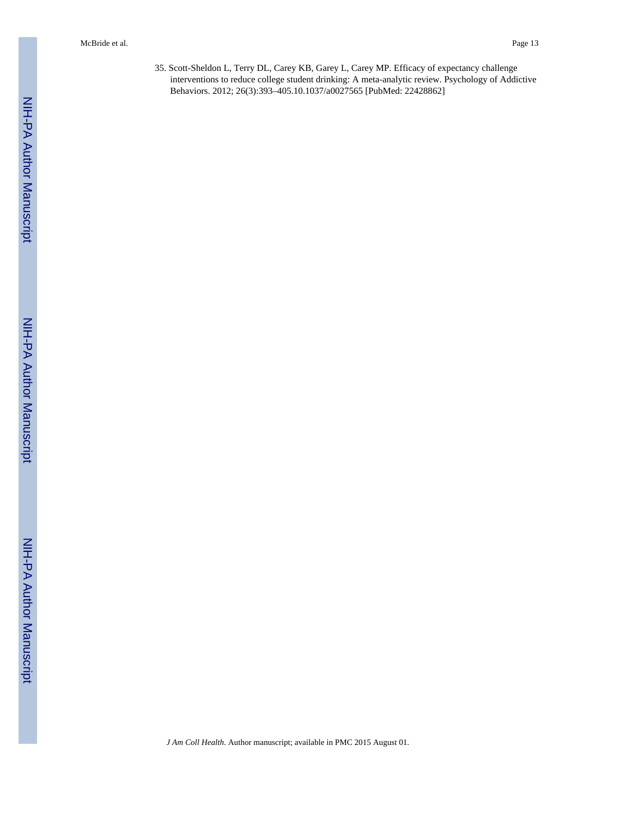35. Scott-Sheldon L, Terry DL, Carey KB, Garey L, Carey MP. Efficacy of expectancy challenge interventions to reduce college student drinking: A meta-analytic review. Psychology of Addictive Behaviors. 2012; 26(3):393–405.10.1037/a0027565 [PubMed: 22428862]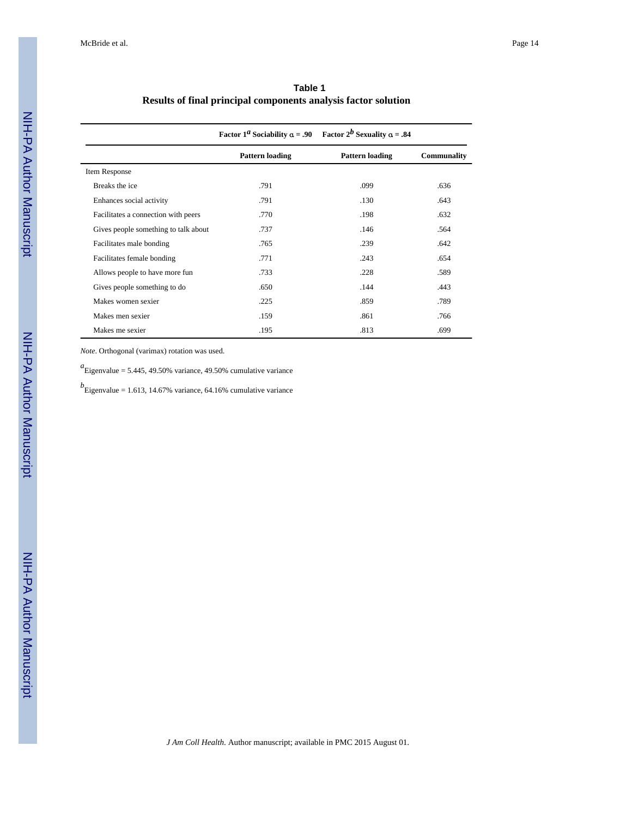|                                                                       | Table 1 |  |
|-----------------------------------------------------------------------|---------|--|
| <b>Results of final principal components analysis factor solution</b> |         |  |

|                                      | Factor $1^a$ Sociability $a = .90$ | Factor $2^b$ Sexuality $\alpha = .84$ |                    |
|--------------------------------------|------------------------------------|---------------------------------------|--------------------|
|                                      | <b>Pattern loading</b>             | <b>Pattern loading</b>                | <b>Communality</b> |
| Item Response                        |                                    |                                       |                    |
| Breaks the ice                       | .791                               | .099                                  | .636               |
| Enhances social activity             | .791                               | .130                                  | .643               |
| Facilitates a connection with peers  | .770                               | .198                                  | .632               |
| Gives people something to talk about | .737                               | .146                                  | .564               |
| Facilitates male bonding             | .765                               | .239                                  | .642               |
| Facilitates female bonding           | .771                               | .243                                  | .654               |
| Allows people to have more fun       | .733                               | .228                                  | .589               |
| Gives people something to do         | .650                               | .144                                  | .443               |
| Makes women sexier                   | .225                               | .859                                  | .789               |
| Makes men sexier                     | .159                               | .861                                  | .766               |
| Makes me sexier                      | .195                               | .813                                  | .699               |

*Note*. Orthogonal (varimax) rotation was used.

*a* Eigenvalue = 5.445, 49.50% variance, 49.50% cumulative variance

*b* Eigenvalue = 1.613, 14.67% variance, 64.16% cumulative variance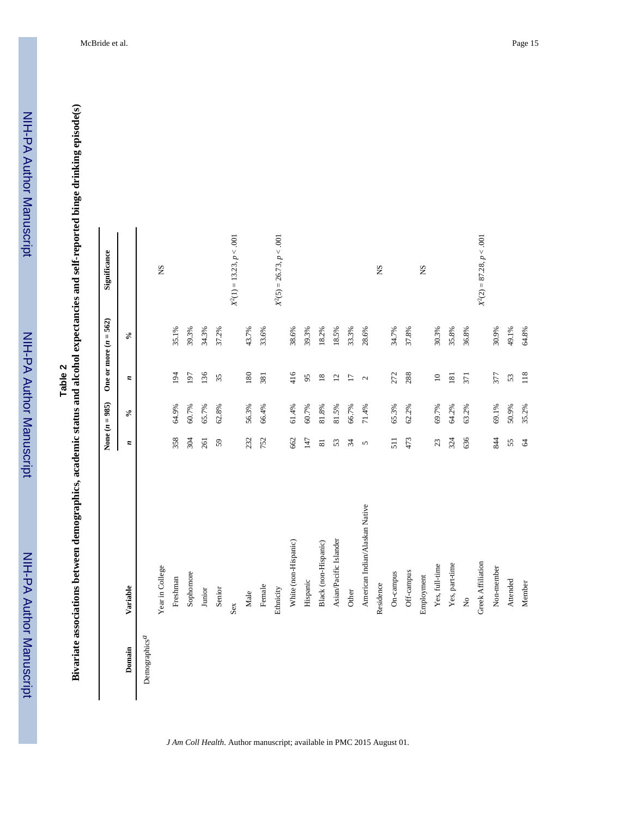NIH-PA Author Manuscript

NIH-PA Author Manuscript

Table 2<br>Bivariate associations between demographics, academic status and alcohol expectancies and self-reported binge drinking episode(s) **Bivariate associations between demographics, academic status and alcohol expectancies and self-reported binge drinking episode(s)**

|                           |                                |                  | None $(n = 985)$           |                 | One or more $(n = 562)$ | Significance               |
|---------------------------|--------------------------------|------------------|----------------------------|-----------------|-------------------------|----------------------------|
| Domain                    | Variable                       | $\boldsymbol{z}$ | $\mathcal{S}_{\mathbf{0}}$ | r.              | $\mathcal{S}_0$         |                            |
| Demographics <sup>a</sup> |                                |                  |                            |                 |                         |                            |
|                           | Year in College                |                  |                            |                 |                         | SN                         |
|                           | Freshman                       | 358              | 64.9%                      | 194             | 35.1%                   |                            |
|                           | Sophomore                      | 304              | 60.7%                      | 197             | 39.3%                   |                            |
|                           | Junior                         | 261              | 65.7%                      | 136             | 34.3%                   |                            |
|                           | Senior                         | 59               | 62.8%                      | 35              | 37.2%                   |                            |
|                           | Sex                            |                  |                            |                 |                         | $X^2(1) = 13.23, p < .001$ |
|                           | Male                           | 232              | 56.3%                      | 180             | 43.7%                   |                            |
|                           | Female                         | 752              | 66.4%                      | 381             | 33.6%                   |                            |
|                           | Ethnicity                      |                  |                            |                 |                         | $X^2(5) = 26.73, p < .001$ |
|                           | White (non-Hispanic)           | 662              | 61.4%                      | 416             | 38.6%                   |                            |
|                           | Hispanic                       | 147              | 60.7%                      | 95              | 39.3%                   |                            |
|                           | Black (non-Hispanic)           | $\overline{8}$   | $81.8\%$                   | $\overline{18}$ | 18.2%                   |                            |
|                           | Asian/Pacific Islander         | 53               | 81.5%                      | $\overline{c}$  | 18.5%                   |                            |
|                           | Other                          | 34               | 66.7%                      | $\overline{17}$ | 33.3%                   |                            |
|                           | American Indian/Alaskan Native | 5                | 71.4%                      | $\sim$          | 28.6%                   |                            |
|                           | Residence                      |                  |                            |                 |                         | SN                         |
|                           | On-campus                      | 511              | 65.3%                      | 272             | 34.7%                   |                            |
|                           | Off-campus                     | 473              | 62.2%                      | 288             | 37.8%                   |                            |
|                           | Employment                     |                  |                            |                 |                         | SN                         |
|                           | Yes, full-time                 | 23               | 69.7%                      | $\Xi$           | 30.3%                   |                            |
|                           | Yes, part-time                 | 324              | 64.2%                      | 181             | 35.8%                   |                            |
|                           | $\frac{1}{2}$                  | 636              | 63.2%                      | 371             | 36.8%                   |                            |
|                           | <b>Greek Affiliation</b>       |                  |                            |                 |                         | $X^2(2) = 87.28, p < .001$ |
|                           | Non-member                     | 844              | 69.1%                      | 377             | 30.9%                   |                            |
|                           | Attended                       | 55               | 50.9%                      | 53              | 49.1%                   |                            |
|                           | Member                         | $\mathcal{Z}$    | 35.2%                      | 118             | 64.8%                   |                            |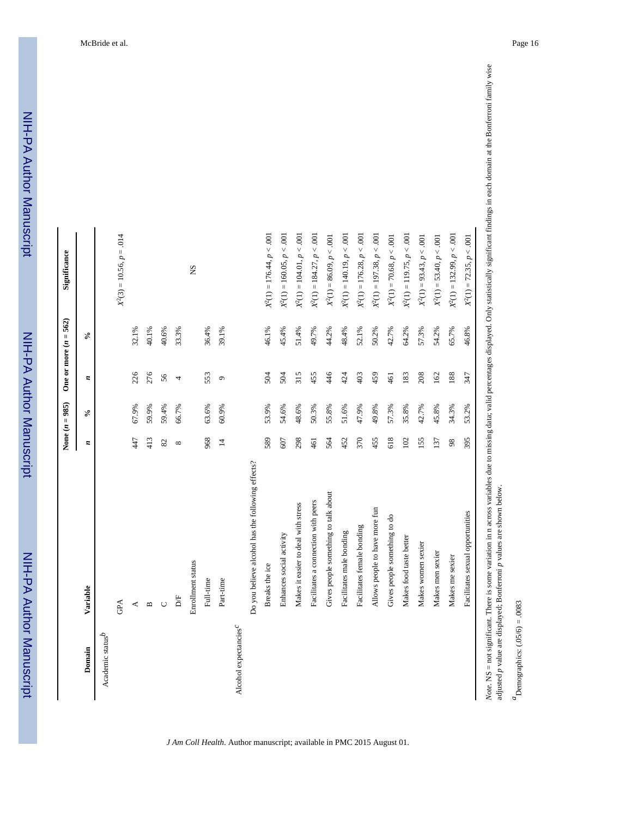|                                   |                                                   |                | None $(n = 985)$ |         | One or more $(n = 562)$ | Significance                |
|-----------------------------------|---------------------------------------------------|----------------|------------------|---------|-------------------------|-----------------------------|
| Domain                            | Variable                                          | z              | $\sim$           | r.      | $\sim$                  |                             |
| Academic status $b$               |                                                   |                |                  |         |                         |                             |
|                                   | GPA                                               |                |                  |         |                         | $X^2(3) = 10.56, p = .014$  |
|                                   | $\prec$                                           | 447            | 67.9%            | 226     | 32.1%                   |                             |
|                                   | $\mathbf{m}$                                      | 413            | 59.9%            | 276     | 40.1%                   |                             |
|                                   | $\cup$                                            | 82             | 59.4%            | 56      | 40.6%                   |                             |
|                                   | DÆ                                                | ${}^{\circ}$   | 66.7%            | 4       | 33.3%                   |                             |
|                                   | Enrollment status                                 |                |                  |         |                         | SN                          |
|                                   | Full-time                                         | 968            | 63.6%            | 553     | 36.4%                   |                             |
|                                   | Part-time                                         | $\overline{4}$ | 60.9%            | $\circ$ | 39.1%                   |                             |
| Alcohol expectancies <sup>c</sup> |                                                   |                |                  |         |                         |                             |
|                                   | Do you believe alcohol has the following effects? |                |                  |         |                         |                             |
|                                   | Breaks the ice                                    | 589            | 53.9%            | 504     | 46.1%                   | $X^2(1) = 176.44, p < .001$ |
|                                   | Enhances social activity                          | 607            | 54.6%            | 504     | 45.4%                   | $X^2(1) = 160.05, p < .001$ |
|                                   | Makes it easier to deal with stress               | 298            | 48.6%            | 315     | 51.4%                   | $X^2(1) = 104.01, p < .001$ |
|                                   | Facilitates a connection with peers               | 461            | 50.3%            | 455     | 49.7%                   | $X^2(1) = 184.27, p < .001$ |
|                                   | Gives people something to talk about              | 564            | 55.8%            | 446     | 44.2%                   | $X^2(1) = 86.09, p < .001$  |
|                                   | Facilitates male bonding                          | 452            | 51.6%            | 424     | 48.4%                   | $X^2(1) = 140.19, p < .001$ |
|                                   | Facilitates female bonding                        | 370            | 47.9%            | 403     | 52.1%                   | $X^2(1) = 176.28, p < .001$ |
|                                   | Allows people to have more fun                    | 455            | 49.8%            | 459     | 50.2%                   | $X^2(1) = 197.38, p < .001$ |
|                                   | Gives people something to do                      | 618            | 57.3%            | 461     | 42.7%                   | $X^2(1) = 70.68, p < .001$  |
|                                   | Makes food taste better                           | 102            | 35.8%            | 183     | 64.2%                   | $X^2(1) = 119.75, p < .001$ |
|                                   | Makes women sexier                                | 155            | 42.7%            | 208     | 57.3%                   | $X^2(1) = 93.43, p < .001$  |
|                                   | Makes men sexier                                  | 137            | 45.8%            | 162     | 54.2%                   | $X^2(1) = 53.40, p < .001$  |
|                                   | Makes me sexier                                   | 98             | 34.3%            | 188     | 65.7%                   | $X^2(1) = 132.99, p < .001$ |
|                                   | Facilitates sexual opportunities                  | 395            | 53.2%            | 347     | 46.8%                   | $X^2(1) = 72.35, p < .001$  |

 $a_{\mbox{Demographics: } (.05/6) = .0083$ *a*Demographics: (.05/6) = .0083

adjusted *p* value are displayed; Bonferroni *p* values are shown below.

adjusted p value are displayed; Bonferroni p values are shown below.

Note. NS = not significant. There is some variation in n across variables due to missing data; valid percentages displayed. Only statistically significant findings in each domain at the Bonferroni family wise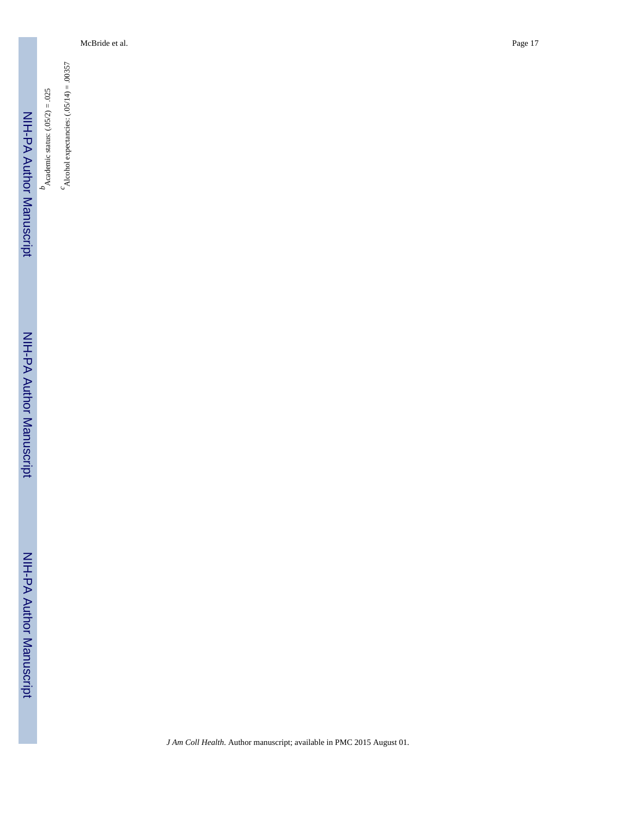$b$ Academic status:  $(.05/2) = .025$ 

 $b$ Academic status: (.05/2) = .025

 $c^c$ Alcohol expectancies:  $(.05/14) = .00357$ 

 $c$ Alcohol expectancies: (.05/14) = .00357

McBride et al. Page 17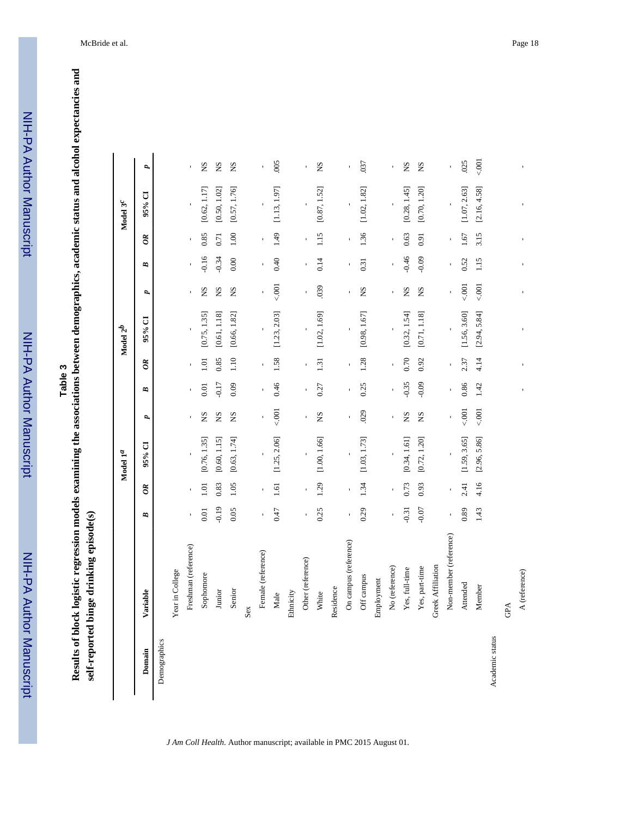Table 3<br>Results of block logistic regression models examining the associations between demographics, academic status and alcohol expectancies and **Results of block logistic regression models examining the associations between demographics, academic status and alcohol expectancies and** self-reported binge drinking episode(s) **self-reported binge drinking episode(s)**

| 5001<br>5001<br>5001<br>039<br>SN<br>SN<br>SN<br>SN<br>SN<br>SN<br>v,<br>ï<br>t<br>ï<br>ï<br>[1.23, 2.03]<br>[2.94, 5.84]<br>[0.61, 1.18]<br>[1.02, 1.69]<br>[0.32, 1.54]<br>[0.71, 1.18]<br>[0.75, 1.35]<br>[0.66, 1.82]<br>[0.98, 1.67]<br>[1.56, 3.60]<br>95% CI<br>1.10<br>0.70<br>4.14<br>1.58<br>1.28<br>0.85<br>0.92<br>2.37<br>1.31<br>1.01<br>$\delta$<br>t<br>$-0.35$<br>$-0.09$<br>$-0.17$<br>0.46<br>0.86<br>0.09<br>0.25<br>1.42<br>0.27<br>0.01<br>B<br>t<br>5001<br>5001<br>001<br>029<br>SN<br>SN<br>SN<br>SN<br>SN<br>SN<br>P,<br>ï<br>J.<br>[1.25, 2.06]<br>[1.00, 1.66]<br>[1.03, 1.73]<br>[0.34, 1.61]<br>[0.72, 1.20]<br>[2.96, 5.86]<br>[0.76, 1.35]<br>[0.60, 1.15]<br>[0.63, 1.74]<br>[1.59, 3.65]<br>95% CI<br>4.16<br>1.05<br>1.29<br>1.34<br>0.73<br>0.93<br>0.83<br>1.01<br>2.41<br>1.61<br>$\delta$<br>$\mathbf{I}$<br>$-0.19$<br>$-0.07$<br>0.05<br>0.25<br>0.29<br>0.89<br>1.43<br>0.47<br>$-0.31$<br>0.01<br>B<br>ï<br>Non-member (reference)<br>On campus (reference)<br>Freshman (reference)<br>Female (reference)<br>Other (reference)<br><b>Greek Affiliation</b><br>Yes, part-time<br>No (reference)<br>Yes, full-time<br>Year in College<br>Sophomore<br>Off campus<br>Employment<br>Attended<br>Member<br>Residence<br>Junior<br>Senior<br>Ethnicity<br>Variable<br>White<br>Male<br>$\mathbb{G}^{\mathbb{A}}$<br>Sex<br>Academic status<br>Demographics<br>Domain |  |  | Model 1 <sup>a</sup> |  | Model $2^b$ |              |              | Model 3 <sup>c</sup> |                          |
|-----------------------------------------------------------------------------------------------------------------------------------------------------------------------------------------------------------------------------------------------------------------------------------------------------------------------------------------------------------------------------------------------------------------------------------------------------------------------------------------------------------------------------------------------------------------------------------------------------------------------------------------------------------------------------------------------------------------------------------------------------------------------------------------------------------------------------------------------------------------------------------------------------------------------------------------------------------------------------------------------------------------------------------------------------------------------------------------------------------------------------------------------------------------------------------------------------------------------------------------------------------------------------------------------------------------------------------------------------------------------------------------------------------|--|--|----------------------|--|-------------|--------------|--------------|----------------------|--------------------------|
|                                                                                                                                                                                                                                                                                                                                                                                                                                                                                                                                                                                                                                                                                                                                                                                                                                                                                                                                                                                                                                                                                                                                                                                                                                                                                                                                                                                                           |  |  |                      |  |             | B            | $\delta$     | 95% CI               | d                        |
|                                                                                                                                                                                                                                                                                                                                                                                                                                                                                                                                                                                                                                                                                                                                                                                                                                                                                                                                                                                                                                                                                                                                                                                                                                                                                                                                                                                                           |  |  |                      |  |             |              |              |                      |                          |
|                                                                                                                                                                                                                                                                                                                                                                                                                                                                                                                                                                                                                                                                                                                                                                                                                                                                                                                                                                                                                                                                                                                                                                                                                                                                                                                                                                                                           |  |  |                      |  |             |              |              |                      |                          |
|                                                                                                                                                                                                                                                                                                                                                                                                                                                                                                                                                                                                                                                                                                                                                                                                                                                                                                                                                                                                                                                                                                                                                                                                                                                                                                                                                                                                           |  |  |                      |  |             |              | ï            |                      | $\overline{\phantom{a}}$ |
|                                                                                                                                                                                                                                                                                                                                                                                                                                                                                                                                                                                                                                                                                                                                                                                                                                                                                                                                                                                                                                                                                                                                                                                                                                                                                                                                                                                                           |  |  |                      |  |             | $-0.16$      | 0.85         | [0.62, 1.17]         | SN                       |
|                                                                                                                                                                                                                                                                                                                                                                                                                                                                                                                                                                                                                                                                                                                                                                                                                                                                                                                                                                                                                                                                                                                                                                                                                                                                                                                                                                                                           |  |  |                      |  |             | $-0.34$      | 0.71         | [0.50, 1.02]         | SN                       |
|                                                                                                                                                                                                                                                                                                                                                                                                                                                                                                                                                                                                                                                                                                                                                                                                                                                                                                                                                                                                                                                                                                                                                                                                                                                                                                                                                                                                           |  |  |                      |  |             | 0.00         | 1.00         | [0.57, 1.76]         | SN                       |
|                                                                                                                                                                                                                                                                                                                                                                                                                                                                                                                                                                                                                                                                                                                                                                                                                                                                                                                                                                                                                                                                                                                                                                                                                                                                                                                                                                                                           |  |  |                      |  |             |              |              |                      |                          |
|                                                                                                                                                                                                                                                                                                                                                                                                                                                                                                                                                                                                                                                                                                                                                                                                                                                                                                                                                                                                                                                                                                                                                                                                                                                                                                                                                                                                           |  |  |                      |  |             |              |              |                      |                          |
|                                                                                                                                                                                                                                                                                                                                                                                                                                                                                                                                                                                                                                                                                                                                                                                                                                                                                                                                                                                                                                                                                                                                                                                                                                                                                                                                                                                                           |  |  |                      |  |             | 0.40         | 1.49         | [1.13, 1.97]         | .005                     |
|                                                                                                                                                                                                                                                                                                                                                                                                                                                                                                                                                                                                                                                                                                                                                                                                                                                                                                                                                                                                                                                                                                                                                                                                                                                                                                                                                                                                           |  |  |                      |  |             |              |              |                      |                          |
|                                                                                                                                                                                                                                                                                                                                                                                                                                                                                                                                                                                                                                                                                                                                                                                                                                                                                                                                                                                                                                                                                                                                                                                                                                                                                                                                                                                                           |  |  |                      |  |             | t            | t            |                      | J.                       |
|                                                                                                                                                                                                                                                                                                                                                                                                                                                                                                                                                                                                                                                                                                                                                                                                                                                                                                                                                                                                                                                                                                                                                                                                                                                                                                                                                                                                           |  |  |                      |  |             | 0.14         | 1.15         | [0.87, 1.52]         | SN                       |
|                                                                                                                                                                                                                                                                                                                                                                                                                                                                                                                                                                                                                                                                                                                                                                                                                                                                                                                                                                                                                                                                                                                                                                                                                                                                                                                                                                                                           |  |  |                      |  |             |              |              |                      |                          |
|                                                                                                                                                                                                                                                                                                                                                                                                                                                                                                                                                                                                                                                                                                                                                                                                                                                                                                                                                                                                                                                                                                                                                                                                                                                                                                                                                                                                           |  |  |                      |  |             | ï            | ï            | ï                    | ı                        |
|                                                                                                                                                                                                                                                                                                                                                                                                                                                                                                                                                                                                                                                                                                                                                                                                                                                                                                                                                                                                                                                                                                                                                                                                                                                                                                                                                                                                           |  |  |                      |  |             | 0.31         | 1.36         | [1.02, 1.82]         | .037                     |
|                                                                                                                                                                                                                                                                                                                                                                                                                                                                                                                                                                                                                                                                                                                                                                                                                                                                                                                                                                                                                                                                                                                                                                                                                                                                                                                                                                                                           |  |  |                      |  |             |              |              |                      |                          |
|                                                                                                                                                                                                                                                                                                                                                                                                                                                                                                                                                                                                                                                                                                                                                                                                                                                                                                                                                                                                                                                                                                                                                                                                                                                                                                                                                                                                           |  |  |                      |  |             | í.           | f,           |                      | f,                       |
|                                                                                                                                                                                                                                                                                                                                                                                                                                                                                                                                                                                                                                                                                                                                                                                                                                                                                                                                                                                                                                                                                                                                                                                                                                                                                                                                                                                                           |  |  |                      |  |             | $-0.46$      | 0.63         | [0.28, 1.45]         | SN                       |
|                                                                                                                                                                                                                                                                                                                                                                                                                                                                                                                                                                                                                                                                                                                                                                                                                                                                                                                                                                                                                                                                                                                                                                                                                                                                                                                                                                                                           |  |  |                      |  |             | $-0.09$      | 0.91         | [0.70, 1.20]         | SN                       |
|                                                                                                                                                                                                                                                                                                                                                                                                                                                                                                                                                                                                                                                                                                                                                                                                                                                                                                                                                                                                                                                                                                                                                                                                                                                                                                                                                                                                           |  |  |                      |  |             |              |              |                      |                          |
|                                                                                                                                                                                                                                                                                                                                                                                                                                                                                                                                                                                                                                                                                                                                                                                                                                                                                                                                                                                                                                                                                                                                                                                                                                                                                                                                                                                                           |  |  |                      |  |             | $\mathbf{I}$ | $\mathbf{I}$ |                      | $\mathbf{I}$             |
|                                                                                                                                                                                                                                                                                                                                                                                                                                                                                                                                                                                                                                                                                                                                                                                                                                                                                                                                                                                                                                                                                                                                                                                                                                                                                                                                                                                                           |  |  |                      |  |             | 0.52         | 1.67         | [1.07, 2.63]         | .025                     |
|                                                                                                                                                                                                                                                                                                                                                                                                                                                                                                                                                                                                                                                                                                                                                                                                                                                                                                                                                                                                                                                                                                                                                                                                                                                                                                                                                                                                           |  |  |                      |  |             | 1.15         | 3.15         | [2.16, 4.58]         | 5.001                    |
|                                                                                                                                                                                                                                                                                                                                                                                                                                                                                                                                                                                                                                                                                                                                                                                                                                                                                                                                                                                                                                                                                                                                                                                                                                                                                                                                                                                                           |  |  |                      |  |             |              |              |                      |                          |
|                                                                                                                                                                                                                                                                                                                                                                                                                                                                                                                                                                                                                                                                                                                                                                                                                                                                                                                                                                                                                                                                                                                                                                                                                                                                                                                                                                                                           |  |  |                      |  |             |              |              |                      |                          |

*J Am Coll Health*. Author manuscript; available in PMC 2015 August 01.

A (reference) - - - - - - - -

A (reference)